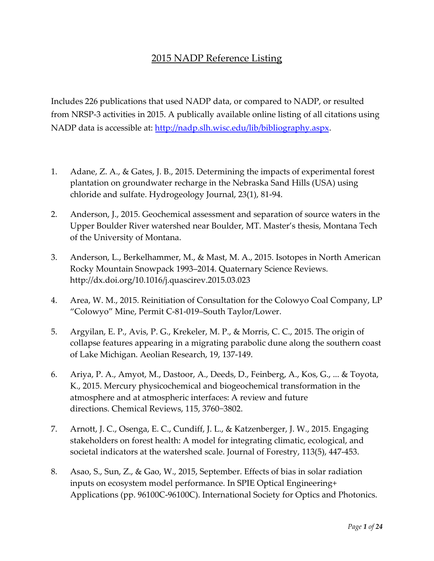## 2015 NADP Reference Listing

Includes 226 publications that used NADP data, or compared to NADP, or resulted from NRSP-3 activities in 2015. A publically available online listing of all citations using NADP data is accessible at: http://nadp.slh.wisc[.edu/lib/bibliography.aspx.](http://nadp.slh.wisc.edu/lib/bibliography.aspx) 

- 1. Adane, Z. A., & Gates, J. B., 2015. Determining the impacts of experimental forest plantation on groundwater recharge in the Nebraska Sand Hills (USA) using chloride and sulfate. Hydrogeology Journal, 23(1), 81-94.
- 2. Anderson, J., 2015. Geochemical assessment and separation of source waters in the Upper Boulder River watershed near Boulder, MT. Master's thesis, Montana Tech of the University of Montana.
- 3. Anderson, L., Berkelhammer, M., & Mast, M. A., 2015. Isotopes in North American Rocky Mountain Snowpack 1993–2014. Quaternary Science Reviews. http://dx.doi.org/10.1016/j.quascirev.2015.03.023
- 4. Area, W. M., 2015. Reinitiation of Consultation for the Colowyo Coal Company, LP "Colowyo" Mine, Permit C-81-019–South Taylor/Lower.
- 5. Argyilan, E. P., Avis, P. G., Krekeler, M. P., & Morris, C. C., 2015. The origin of collapse features appearing in a migrating parabolic dune along the southern coast of Lake Michigan. Aeolian Research, 19, 137-149.
- 6. Ariya, P. A., Amyot, M., Dastoor, A., Deeds, D., Feinberg, A., Kos, G., ... & Toyota, K., 2015. Mercury physicochemical and biogeochemical transformation in the atmosphere and at atmospheric interfaces: A review and future directions. Chemical Reviews, 115, 3760−3802.
- 7. Arnott, J. C., Osenga, E. C., Cundiff, J. L., & Katzenberger, J. W., 2015. Engaging stakeholders on forest health: A model for integrating climatic, ecological, and societal indicators at the watershed scale. Journal of Forestry, 113(5), 447-453.
- 8. Asao, S., Sun, Z., & Gao, W., 2015, September. Effects of bias in solar radiation inputs on ecosystem model performance. In SPIE Optical Engineering+ Applications (pp. 96100C-96100C). International Society for Optics and Photonics.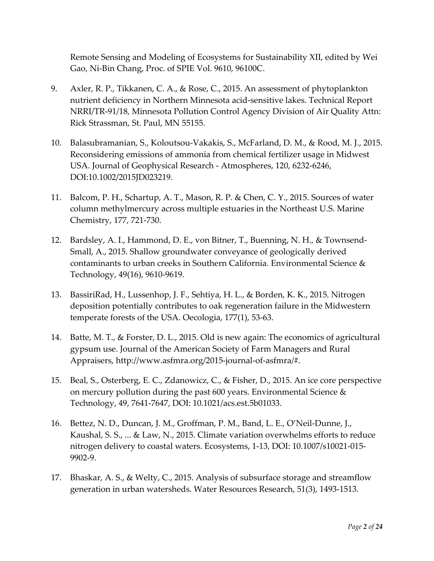Remote Sensing and Modeling of Ecosystems for Sustainability XII, edited by Wei Gao, Ni-Bin Chang, Proc. of SPIE Vol. 9610, 96100C.

- 9. Axler, R. P., Tikkanen, C. A., & Rose, C., 2015. An assessment of phytoplankton nutrient deficiency in Northern Minnesota acid-sensitive lakes. Technical Report NRRI/TR-91/18, Minnesota Pollution Control Agency Division of Air Quality Attn: Rick Strassman, St. Paul, MN 55155.
- 10. Balasubramanian, S., Koloutsou-Vakakis, S., McFarland, D. M., & Rood, M. J., 2015. Reconsidering emissions of ammonia from chemical fertilizer usage in Midwest USA. Journal of Geophysical Research - Atmospheres, 120, 6232-6246, DOI:10.1002/2015JD023219.
- 11. Balcom, P. H., Schartup, A. T., Mason, R. P. & Chen, C. Y., 2015. Sources of water column methylmercury across multiple estuaries in the Northeast U.S. Marine Chemistry, 177, 721-730.
- 12. Bardsley, A. I., Hammond, D. E., von Bitner, T., Buenning, N. H., & Townsend-Small, A., 2015. Shallow groundwater conveyance of geologically derived contaminants to urban creeks in Southern California. Environmental Science & Technology, 49(16), 9610-9619.
- 13. BassiriRad, H., Lussenhop, J. F., Sehtiya, H. L., & Borden, K. K., 2015. Nitrogen deposition potentially contributes to oak regeneration failure in the Midwestern temperate forests of the USA. Oecologia, 177(1), 53-63.
- 14. Batte, M. T., & Forster, D. L., 2015. Old is new again: The economics of agricultural gypsum use. Journal of the American Society of Farm Managers and Rural Appraisers, http://www.asfmra.org/2015-journal-of-asfmra/#.
- 15. Beal, S., Osterberg, E. C., Zdanowicz, C., & Fisher, D., 2015. An ice core perspective on mercury pollution during the past 600 years. Environmental Science  $\&$ Technology, 49, 7641-7647, DOI: 10.1021/acs.est.5b01033.
- 16. Bettez, N. D., Duncan, J. M., Groffman, P. M., Band, L. E., O'Neil-Dunne, J., Kaushal, S. S., ... & Law, N., 2015. Climate variation overwhelms efforts to reduce nitrogen delivery to coastal waters. Ecosystems, 1-13, DOI: 10.1007/s10021-015- 9902-9.
- 17. Bhaskar, A. S., & Welty, C., 2015. Analysis of subsurface storage and streamflow generation in urban watersheds. Water Resources Research, 51(3), 1493-1513.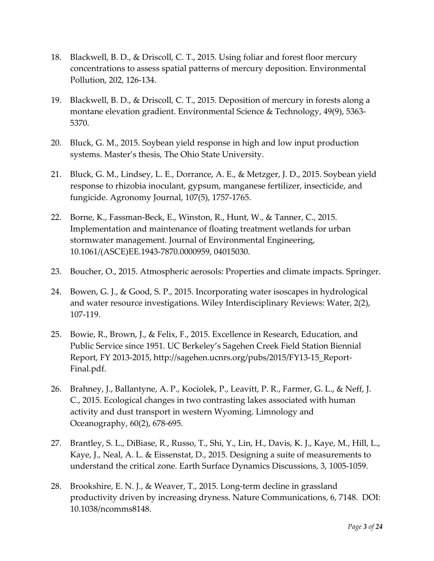- 18. Blackwell, B. D., & Driscoll, C. T., 2015. Using foliar and forest floor mercury concentrations to assess spatial patterns of mercury deposition. Environmental Pollution, 202, 126-134.
- 19. Blackwell, B. D., & Driscoll, C. T., 2015. Deposition of mercury in forests along a montane elevation gradient. Environmental Science & Technology, 49(9), 5363- 5370.
- 20. Bluck, G. M., 2015. Soybean yield response in high and low input production systems. Master's thesis, The Ohio State University.
- 21. Bluck, G. M., Lindsey, L. E., Dorrance, A. E., & Metzger, J. D., 2015. Soybean yield response to rhizobia inoculant, gypsum, manganese fertilizer, insecticide, and fungicide. Agronomy Journal, 107(5), 1757-1765.
- 22. Borne, K., Fassman-Beck, E., Winston, R., Hunt, W., & Tanner, C., 2015. Implementation and maintenance of floating treatment wetlands for urban stormwater management. Journal of Environmental Engineering, 10.1061/(ASCE)EE.1943-7870.0000959, 04015030.
- 23. Boucher, O., 2015. Atmospheric aerosols: Properties and climate impacts. Springer.
- 24. Bowen, G. J., & Good, S. P., 2015. Incorporating water isoscapes in hydrological and water resource investigations. Wiley Interdisciplinary Reviews: Water, 2(2), 107-119.
- 25. Bowie, R., Brown, J., & Felix, F., 2015. Excellence in Research, Education, and Public Service since 1951. UC Berkeley's Sagehen Creek Field Station Biennial Report, FY 2013-2015, http://sagehen.ucnrs.org/pubs/2015/FY13-15\_Report-Final.pdf.
- 26. Brahney, J., Ballantyne, A. P., Kociolek, P., Leavitt, P. R., Farmer, G. L., & Neff, J. C., 2015. Ecological changes in two contrasting lakes associated with human activity and dust transport in western Wyoming. Limnology and Oceanography, 60(2), 678-695.
- 27. Brantley, S. L., DiBiase, R., Russo, T., Shi, Y., Lin, H., Davis, K. J., Kaye, M., Hill, L., Kaye, J., Neal, A. L. & Eissenstat, D., 2015. Designing a suite of measurements to understand the critical zone. Earth Surface Dynamics Discussions, 3, 1005-1059.
- 28. Brookshire, E. N. J., & Weaver, T., 2015. Long-term decline in grassland productivity driven by increasing dryness. Nature Communications, 6, 7148. DOI: 10.1038/ncomms8148.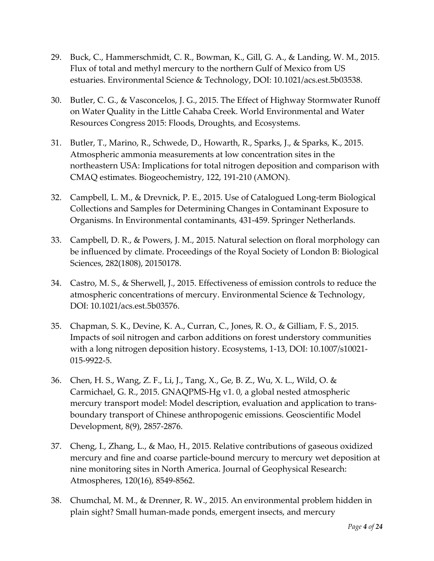- 29. Buck, C., Hammerschmidt, C. R., Bowman, K., Gill, G. A., & Landing, W. M., 2015. Flux of total and methyl mercury to the northern Gulf of Mexico from US estuaries. Environmental Science & Technology, DOI: 10.1021/acs.est.5b03538.
- 30. Butler, C. G., & Vasconcelos, J. G., 2015. The Effect of Highway Stormwater Runoff on Water Quality in the Little Cahaba Creek. World Environmental and Water Resources Congress 2015: Floods, Droughts, and Ecosystems.
- 31. Butler, T., Marino, R., Schwede, D., Howarth, R., Sparks, J., & Sparks, K., 2015. Atmospheric ammonia measurements at low concentration sites in the northeastern USA: Implications for total nitrogen deposition and comparison with CMAQ estimates. Biogeochemistry, 122, 191-210 (AMON).
- 32. Campbell, L. M., & Drevnick, P. E., 2015. Use of Catalogued Long-term Biological Collections and Samples for Determining Changes in Contaminant Exposure to Organisms. In Environmental contaminants, 431-459. Springer Netherlands.
- 33. Campbell, D. R., & Powers, J. M., 2015. Natural selection on floral morphology can be influenced by climate. Proceedings of the Royal Society of London B: Biological Sciences, 282(1808), 20150178.
- 34. Castro, M. S., & Sherwell, J., 2015. Effectiveness of emission controls to reduce the atmospheric concentrations of mercury. Environmental Science & Technology, DOI: 10.1021/acs.est.5b03576.
- 35. Chapman, S. K., Devine, K. A., Curran, C., Jones, R. O., & Gilliam, F. S., 2015. Impacts of soil nitrogen and carbon additions on forest understory communities with a long nitrogen deposition history. Ecosystems, 1-13, DOI: 10.1007/s10021- 015-9922-5.
- 36. Chen, H. S., Wang, Z. F., Li, J., Tang, X., Ge, B. Z., Wu, X. L., Wild, O. & Carmichael, G. R., 2015. GNAQPMS-Hg v1. 0, a global nested atmospheric mercury transport model: Model description, evaluation and application to transboundary transport of Chinese anthropogenic emissions. Geoscientific Model Development, 8(9), 2857-2876.
- 37. Cheng, I., Zhang, L., & Mao, H., 2015. Relative contributions of gaseous oxidized mercury and fine and coarse particle-bound mercury to mercury wet deposition at nine monitoring sites in North America. Journal of Geophysical Research: Atmospheres, 120(16), 8549-8562.
- 38. Chumchal, M. M., & Drenner, R. W., 2015. An environmental problem hidden in plain sight? Small human-made ponds, emergent insects, and mercury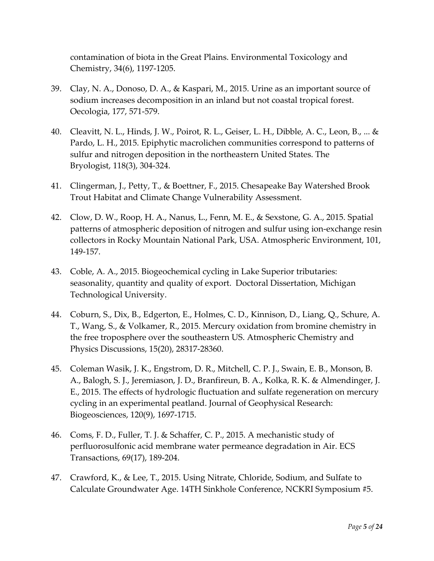contamination of biota in the Great Plains. Environmental Toxicology and Chemistry, 34(6), 1197-1205.

- 39. Clay, N. A., Donoso, D. A., & Kaspari, M., 2015. Urine as an important source of sodium increases decomposition in an inland but not coastal tropical forest. Oecologia, 177, 571-579.
- 40. Cleavitt, N. L., Hinds, J. W., Poirot, R. L., Geiser, L. H., Dibble, A. C., Leon, B., ... & Pardo, L. H., 2015. Epiphytic macrolichen communities correspond to patterns of sulfur and nitrogen deposition in the northeastern United States. The Bryologist, 118(3), 304-324.
- 41. Clingerman, J., Petty, T., & Boettner, F., 2015. Chesapeake Bay Watershed Brook Trout Habitat and Climate Change Vulnerability Assessment.
- 42. Clow, D. W., Roop, H. A., Nanus, L., Fenn, M. E., & Sexstone, G. A., 2015. Spatial patterns of atmospheric deposition of nitrogen and sulfur using ion-exchange resin collectors in Rocky Mountain National Park, USA. Atmospheric Environment, 101, 149-157.
- 43. Coble, A. A., 2015. Biogeochemical cycling in Lake Superior tributaries: seasonality, quantity and quality of export. Doctoral Dissertation, Michigan Technological University.
- 44. Coburn, S., Dix, B., Edgerton, E., Holmes, C. D., Kinnison, D., Liang, Q., Schure, A. T., Wang, S., & Volkamer, R., 2015. Mercury oxidation from bromine chemistry in the free troposphere over the southeastern US. Atmospheric Chemistry and Physics Discussions, 15(20), 28317-28360.
- 45. Coleman Wasik, J. K., Engstrom, D. R., Mitchell, C. P. J., Swain, E. B., Monson, B. A., Balogh, S. J., Jeremiason, J. D., Branfireun, B. A., Kolka, R. K. & Almendinger, J. E., 2015. The effects of hydrologic fluctuation and sulfate regeneration on mercury cycling in an experimental peatland. Journal of Geophysical Research: Biogeosciences, 120(9), 1697-1715.
- 46. Coms, F. D., Fuller, T. J. & Schaffer, C. P., 2015. A mechanistic study of perfluorosulfonic acid membrane water permeance degradation in Air. ECS Transactions, 69(17), 189-204.
- 47. Crawford, K., & Lee, T., 2015. Using Nitrate, Chloride, Sodium, and Sulfate to Calculate Groundwater Age. 14TH Sinkhole Conference, NCKRI Symposium #5.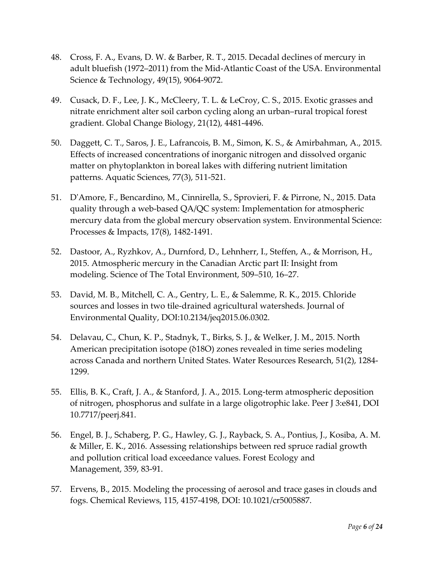- 48. Cross, F. A., Evans, D. W. & Barber, R. T., 2015. Decadal declines of mercury in adult bluefish (1972–2011) from the Mid-Atlantic Coast of the USA. Environmental Science & Technology, 49(15), 9064-9072.
- 49. Cusack, D. F., Lee, J. K., McCleery, T. L. & LeCroy, C. S., 2015. Exotic grasses and nitrate enrichment alter soil carbon cycling along an urban–rural tropical forest gradient. Global Change Biology, 21(12), 4481-4496.
- 50. Daggett, C. T., Saros, J. E., Lafrancois, B. M., Simon, K. S., & Amirbahman, A., 2015. Effects of increased concentrations of inorganic nitrogen and dissolved organic matter on phytoplankton in boreal lakes with differing nutrient limitation patterns. Aquatic Sciences, 77(3), 511-521.
- 51. D'Amore, F., Bencardino, M., Cinnirella, S., Sprovieri, F. & Pirrone, N., 2015. Data quality through a web-based QA/QC system: Implementation for atmospheric mercury data from the global mercury observation system. Environmental Science: Processes & Impacts, 17(8), 1482-1491.
- 52. Dastoor, A., Ryzhkov, A., Durnford, D., Lehnherr, I., Steffen, A., & Morrison, H., 2015. Atmospheric mercury in the Canadian Arctic part II: Insight from modeling. Science of The Total Environment, 509–510, 16–27.
- 53. David, M. B., Mitchell, C. A., Gentry, L. E., & Salemme, R. K., 2015. Chloride sources and losses in two tile-drained agricultural watersheds. Journal of Environmental Quality, DOI:10.2134/jeq2015.06.0302.
- 54. Delavau, C., Chun, K. P., Stadnyk, T., Birks, S. J., & Welker, J. M., 2015. North American precipitation isotope (δ18O) zones revealed in time series modeling across Canada and northern United States. Water Resources Research, 51(2), 1284- 1299.
- 55. Ellis, B. K., Craft, J. A., & Stanford, J. A., 2015. Long-term atmospheric deposition of nitrogen, phosphorus and sulfate in a large oligotrophic lake. Peer J 3:e841, DOI 10.7717/peerj.841.
- 56. Engel, B. J., Schaberg, P. G., Hawley, G. J., Rayback, S. A., Pontius, J., Kosiba, A. M. & Miller, E. K., 2016. Assessing relationships between red spruce radial growth and pollution critical load exceedance values. Forest Ecology and Management, 359, 83-91.
- 57. Ervens, B., 2015. Modeling the processing of aerosol and trace gases in clouds and fogs. Chemical Reviews, 115, 4157-4198, DOI: 10.1021/cr5005887.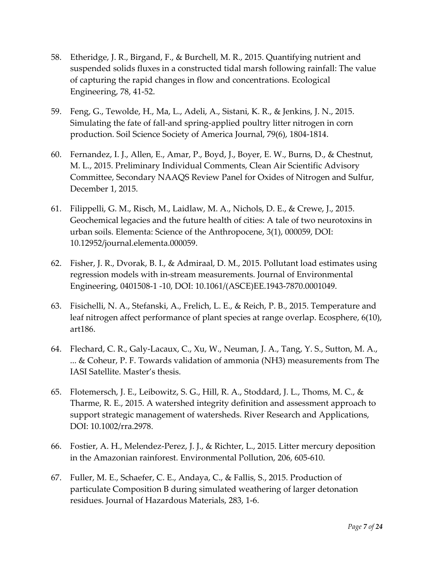- 58. Etheridge, J. R., Birgand, F., & Burchell, M. R., 2015. Quantifying nutrient and suspended solids fluxes in a constructed tidal marsh following rainfall: The value of capturing the rapid changes in flow and concentrations. Ecological Engineering, 78, 41-52.
- 59. Feng, G., Tewolde, H., Ma, L., Adeli, A., Sistani, K. R., & Jenkins, J. N., 2015. Simulating the fate of fall-and spring-applied poultry litter nitrogen in corn production. Soil Science Society of America Journal, 79(6), 1804-1814.
- 60. Fernandez, I. J., Allen, E., Amar, P., Boyd, J., Boyer, E. W., Burns, D., & Chestnut, M. L., 2015. Preliminary Individual Comments, Clean Air Scientific Advisory Committee, Secondary NAAQS Review Panel for Oxides of Nitrogen and Sulfur, December 1, 2015.
- 61. Filippelli, G. M., Risch, M., Laidlaw, M. A., Nichols, D. E., & Crewe, J., 2015. Geochemical legacies and the future health of cities: A tale of two neurotoxins in urban soils. Elementa: Science of the Anthropocene, 3(1), 000059, DOI: 10.12952/journal.elementa.000059.
- 62. Fisher, J. R., Dvorak, B. I., & Admiraal, D. M., 2015. Pollutant load estimates using regression models with in-stream measurements. Journal of Environmental Engineering, 0401508-1 -10, DOI: 10.1061/(ASCE)EE.1943-7870.0001049.
- 63. Fisichelli, N. A., Stefanski, A., Frelich, L. E., & Reich, P. B., 2015. Temperature and leaf nitrogen affect performance of plant species at range overlap. Ecosphere, 6(10), art186.
- 64. Flechard, C. R., Galy-Lacaux, C., Xu, W., Neuman, J. A., Tang, Y. S., Sutton, M. A., ... & Coheur, P. F. Towards validation of ammonia (NH3) measurements from The IASI Satellite. Master's thesis.
- 65. Flotemersch, J. E., Leibowitz, S. G., Hill, R. A., Stoddard, J. L., Thoms, M. C., & Tharme, R. E., 2015. A watershed integrity definition and assessment approach to support strategic management of watersheds. River Research and Applications, DOI: 10.1002/rra.2978.
- 66. Fostier, A. H., Melendez-Perez, J. J., & Richter, L., 2015. Litter mercury deposition in the Amazonian rainforest. Environmental Pollution, 206, 605-610.
- 67. Fuller, M. E., Schaefer, C. E., Andaya, C., & Fallis, S., 2015. Production of particulate Composition B during simulated weathering of larger detonation residues. Journal of Hazardous Materials, 283, 1-6.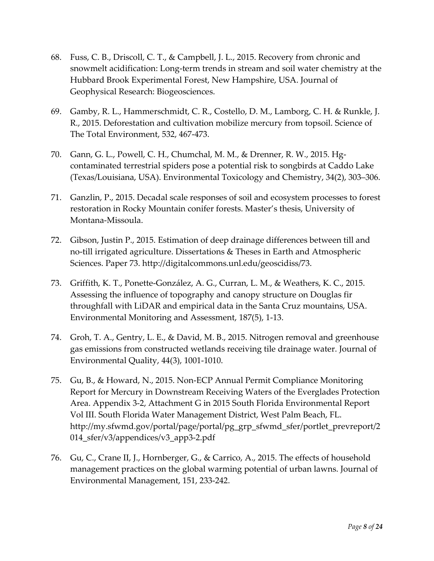- 68. Fuss, C. B., Driscoll, C. T., & Campbell, J. L., 2015. Recovery from chronic and snowmelt acidification: Long-term trends in stream and soil water chemistry at the Hubbard Brook Experimental Forest, New Hampshire, USA. Journal of Geophysical Research: Biogeosciences.
- 69. Gamby, R. L., Hammerschmidt, C. R., Costello, D. M., Lamborg, C. H. & Runkle, J. R., 2015. Deforestation and cultivation mobilize mercury from topsoil. Science of The Total Environment, 532, 467-473.
- 70. Gann, G. L., Powell, C. H., Chumchal, M. M., & Drenner, R. W., 2015. Hgcontaminated terrestrial spiders pose a potential risk to songbirds at Caddo Lake (Texas/Louisiana, USA). Environmental Toxicology and Chemistry, 34(2), 303–306.
- 71. Ganzlin, P., 2015. Decadal scale responses of soil and ecosystem processes to forest restoration in Rocky Mountain conifer forests. Master's thesis, University of Montana-Missoula.
- 72. Gibson, Justin P., 2015. Estimation of deep drainage differences between till and no-till irrigated agriculture. Dissertations & Theses in Earth and Atmospheric Sciences. Paper 73. [http://digitalcommons.unl.edu/geoscidiss/73.](http://digitalcommons.unl.edu/geoscidiss/73)
- 73. Griffith, K. T., Ponette-González, A. G., Curran, L. M., & Weathers, K. C., 2015. Assessing the influence of topography and canopy structure on Douglas fir throughfall with LiDAR and empirical data in the Santa Cruz mountains, USA. Environmental Monitoring and Assessment, 187(5), 1-13.
- 74. Groh, T. A., Gentry, L. E., & David, M. B., 2015. Nitrogen removal and greenhouse gas emissions from constructed wetlands receiving tile drainage water. Journal of Environmental Quality, 44(3), 1001-1010.
- 75. Gu, B., & Howard, N., 2015. Non-ECP Annual Permit Compliance Monitoring Report for Mercury in Downstream Receiving Waters of the Everglades Protection Area. Appendix 3-2, Attachment G in 2015 South Florida Environmental Report Vol III. South Florida Water Management District, West Palm Beach, FL. [http://my.sfwmd.gov/portal/page/portal/pg\\_grp\\_sfwmd\\_sfer/portlet\\_prevreport/2](https://urldefense.proofpoint.com/v2/url?u=http-3A__my.sfwmd.gov_portal_page_portal_pg-5Fgrp-5Fsfwmd-5Fsfer_portlet-5Fprevreport_2014-5Fsfer_v3_appendices_v3-5Fapp3-2D2.pdf&d=BQMFAg&c=8hUWFZcy2Z-Za5rBPlktOQ&r=KPwLQAYRdkPLsrFH5W1UNYX37lRoNPyk4-F46hpB_ao&m=ilPaIP3fUVUbsKN4raABF5-NDLT7mmQz-tOuW6842yM&s=hkW0oKXHe01cnvZeWk0TJqHqcOhMSgL4a2eaqxCQj6Y&e=) [014\\_sfer/v3/appendices/v3\\_app3-2.pdf](https://urldefense.proofpoint.com/v2/url?u=http-3A__my.sfwmd.gov_portal_page_portal_pg-5Fgrp-5Fsfwmd-5Fsfer_portlet-5Fprevreport_2014-5Fsfer_v3_appendices_v3-5Fapp3-2D2.pdf&d=BQMFAg&c=8hUWFZcy2Z-Za5rBPlktOQ&r=KPwLQAYRdkPLsrFH5W1UNYX37lRoNPyk4-F46hpB_ao&m=ilPaIP3fUVUbsKN4raABF5-NDLT7mmQz-tOuW6842yM&s=hkW0oKXHe01cnvZeWk0TJqHqcOhMSgL4a2eaqxCQj6Y&e=)
- 76. Gu, C., Crane II, J., Hornberger, G., & Carrico, A., 2015. The effects of household management practices on the global warming potential of urban lawns. Journal of Environmental Management, 151, 233-242.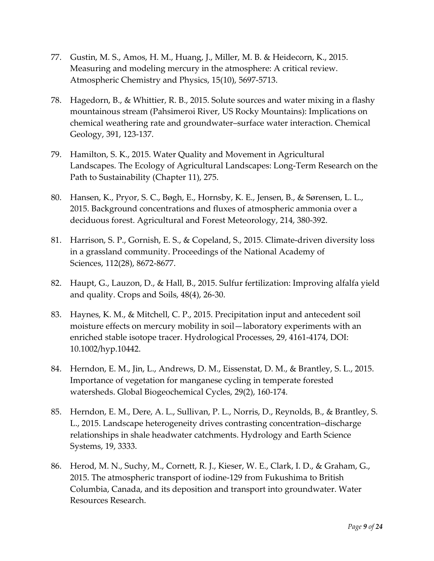- 77. Gustin, M. S., Amos, H. M., Huang, J., Miller, M. B. & Heidecorn, K., 2015. Measuring and modeling mercury in the atmosphere: A critical review. Atmospheric Chemistry and Physics, 15(10), 5697-5713.
- 78. Hagedorn, B., & Whittier, R. B., 2015. Solute sources and water mixing in a flashy mountainous stream (Pahsimeroi River, US Rocky Mountains): Implications on chemical weathering rate and groundwater–surface water interaction. Chemical Geology, 391, 123-137.
- 79. Hamilton, S. K., 2015. Water Quality and Movement in Agricultural Landscapes. The Ecology of Agricultural Landscapes: Long-Term Research on the Path to Sustainability (Chapter 11), 275.
- 80. Hansen, K., Pryor, S. C., Bøgh, E., Hornsby, K. E., Jensen, B., & Sørensen, L. L., 2015. Background concentrations and fluxes of atmospheric ammonia over a deciduous forest. Agricultural and Forest Meteorology, 214, 380-392.
- 81. Harrison, S. P., Gornish, E. S., & Copeland, S., 2015. Climate-driven diversity loss in a grassland community. Proceedings of the National Academy of Sciences, 112(28), 8672-8677.
- 82. Haupt, G., Lauzon, D., & Hall, B., 2015. Sulfur fertilization: Improving alfalfa yield and quality. Crops and Soils, 48(4), 26-30.
- 83. Haynes, K. M., & Mitchell, C. P., 2015. Precipitation input and antecedent soil moisture effects on mercury mobility in soil—laboratory experiments with an enriched stable isotope tracer. Hydrological Processes, 29, 4161-4174, DOI: 10.1002/hyp.10442.
- 84. Herndon, E. M., Jin, L., Andrews, D. M., Eissenstat, D. M., & Brantley, S. L., 2015. Importance of vegetation for manganese cycling in temperate forested watersheds. Global Biogeochemical Cycles, 29(2), 160-174.
- 85. Herndon, E. M., Dere, A. L., Sullivan, P. L., Norris, D., Reynolds, B., & Brantley, S. L., 2015. Landscape heterogeneity drives contrasting concentration–discharge relationships in shale headwater catchments. Hydrology and Earth Science Systems, 19, 3333.
- 86. Herod, M. N., Suchy, M., Cornett, R. J., Kieser, W. E., Clark, I. D., & Graham, G., 2015. The atmospheric transport of iodine-129 from Fukushima to British Columbia, Canada, and its deposition and transport into groundwater. Water Resources Research.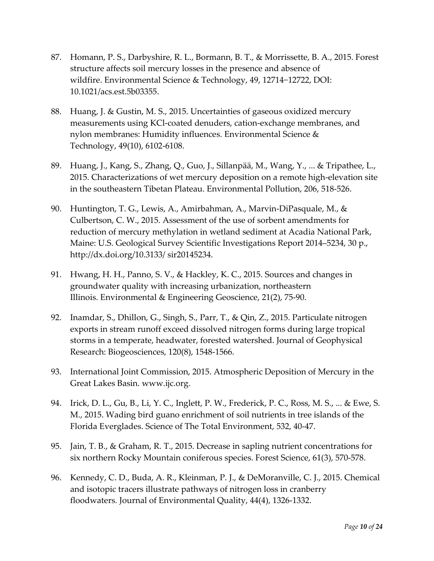- 87. Homann, P. S., Darbyshire, R. L., Bormann, B. T., & Morrissette, B. A., 2015. Forest structure affects soil mercury losses in the presence and absence of wildfire. Environmental Science & Technology, 49, 12714−12722, DOI: 10.1021/acs.est.5b03355.
- 88. Huang, J. & Gustin, M. S., 2015. Uncertainties of gaseous oxidized mercury measurements using KCl-coated denuders, cation-exchange membranes, and nylon membranes: Humidity influences. Environmental Science & Technology, 49(10), 6102-6108.
- 89. Huang, J., Kang, S., Zhang, Q., Guo, J., Sillanpää, M., Wang, Y., ... & Tripathee, L., 2015. Characterizations of wet mercury deposition on a remote high-elevation site in the southeastern Tibetan Plateau. Environmental Pollution, 206, 518-526.
- 90. Huntington, T. G., Lewis, A., Amirbahman, A., Marvin-DiPasquale, M., & Culbertson, C. W., 2015. Assessment of the use of sorbent amendments for reduction of mercury methylation in wetland sediment at Acadia National Park, Maine: U.S. Geological Survey Scientific Investigations Report 2014–5234, 30 p., http://dx.doi.org/10.3133/ sir20145234.
- 91. Hwang, H. H., Panno, S. V., & Hackley, K. C., 2015. Sources and changes in groundwater quality with increasing urbanization, northeastern Illinois. Environmental & Engineering Geoscience, 21(2), 75-90.
- 92. Inamdar, S., Dhillon, G., Singh, S., Parr, T., & Qin, Z., 2015. Particulate nitrogen exports in stream runoff exceed dissolved nitrogen forms during large tropical storms in a temperate, headwater, forested watershed. Journal of Geophysical Research: Biogeosciences, 120(8), 1548-1566.
- 93. International Joint Commission, 2015. Atmospheric Deposition of Mercury in the Great Lakes Basin. www.ijc.org.
- 94. Irick, D. L., Gu, B., Li, Y. C., Inglett, P. W., Frederick, P. C., Ross, M. S., ... & Ewe, S. M., 2015. Wading bird guano enrichment of soil nutrients in tree islands of the Florida Everglades. Science of The Total Environment, 532, 40-47.
- 95. Jain, T. B., & Graham, R. T., 2015. Decrease in sapling nutrient concentrations for six northern Rocky Mountain coniferous species. Forest Science, 61(3), 570-578.
- 96. Kennedy, C. D., Buda, A. R., Kleinman, P. J., & DeMoranville, C. J., 2015. Chemical and isotopic tracers illustrate pathways of nitrogen loss in cranberry floodwaters. Journal of Environmental Quality, 44(4), 1326-1332.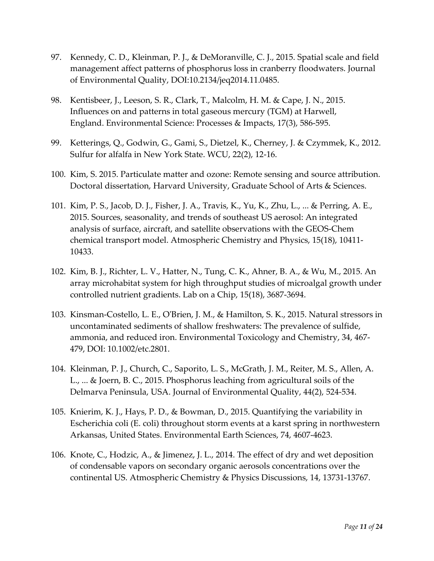- 97. Kennedy, C. D., Kleinman, P. J., & DeMoranville, C. J., 2015. Spatial scale and field management affect patterns of phosphorus loss in cranberry floodwaters. Journal of Environmental Quality, DOI:10.2134/jeq2014.11.0485.
- 98. Kentisbeer, J., Leeson, S. R., Clark, T., Malcolm, H. M. & Cape, J. N., 2015. Influences on and patterns in total gaseous mercury (TGM) at Harwell, England. Environmental Science: Processes & Impacts, 17(3), 586-595.
- 99. Ketterings, Q., Godwin, G., Gami, S., Dietzel, K., Cherney, J. & Czymmek, K., 2012. Sulfur for alfalfa in New York State. WCU, 22(2), 12-16.
- 100. Kim, S. 2015. Particulate matter and ozone: Remote sensing and source attribution. Doctoral dissertation, Harvard University, Graduate School of Arts & Sciences.
- 101. Kim, P. S., Jacob, D. J., Fisher, J. A., Travis, K., Yu, K., Zhu, L., ... & Perring, A. E., 2015. Sources, seasonality, and trends of southeast US aerosol: An integrated analysis of surface, aircraft, and satellite observations with the GEOS-Chem chemical transport model. Atmospheric Chemistry and Physics, 15(18), 10411- 10433.
- 102. Kim, B. J., Richter, L. V., Hatter, N., Tung, C. K., Ahner, B. A., & Wu, M., 2015. An array microhabitat system for high throughput studies of microalgal growth under controlled nutrient gradients. Lab on a Chip, 15(18), 3687-3694.
- 103. Kinsman-Costello, L. E., O'Brien, J. M., & Hamilton, S. K., 2015. Natural stressors in uncontaminated sediments of shallow freshwaters: The prevalence of sulfide, ammonia, and reduced iron. Environmental Toxicology and Chemistry, 34, 467- 479, DOI: 10.1002/etc.2801.
- 104. Kleinman, P. J., Church, C., Saporito, L. S., McGrath, J. M., Reiter, M. S., Allen, A. L., ... & Joern, B. C., 2015. Phosphorus leaching from agricultural soils of the Delmarva Peninsula, USA. Journal of Environmental Quality, 44(2), 524-534.
- 105. Knierim, K. J., Hays, P. D., & Bowman, D., 2015. Quantifying the variability in Escherichia coli (E. coli) throughout storm events at a karst spring in northwestern Arkansas, United States. Environmental Earth Sciences, 74, 4607-4623.
- 106. Knote, C., Hodzic, A., & Jimenez, J. L., 2014. The effect of dry and wet deposition of condensable vapors on secondary organic aerosols concentrations over the continental US. Atmospheric Chemistry & Physics Discussions, 14, 13731-13767.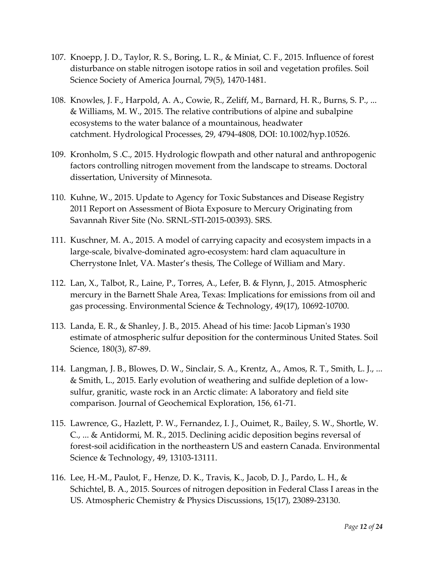- 107. Knoepp, J. D., Taylor, R. S., Boring, L. R., & Miniat, C. F., 2015. Influence of forest disturbance on stable nitrogen isotope ratios in soil and vegetation profiles. Soil Science Society of America Journal, 79(5), 1470-1481.
- 108. Knowles, J. F., Harpold, A. A., Cowie, R., Zeliff, M., Barnard, H. R., Burns, S. P., ... & Williams, M. W., 2015. The relative contributions of alpine and subalpine ecosystems to the water balance of a mountainous, headwater catchment. Hydrological Processes, 29, 4794-4808, DOI: 10.1002/hyp.10526.
- 109. Kronholm, S .C., 2015. Hydrologic flowpath and other natural and anthropogenic factors controlling nitrogen movement from the landscape to streams. Doctoral dissertation, University of Minnesota.
- 110. Kuhne, W., 2015. Update to Agency for Toxic Substances and Disease Registry 2011 Report on Assessment of Biota Exposure to Mercury Originating from Savannah River Site (No. SRNL-STI-2015-00393). SRS.
- 111. Kuschner, M. A., 2015. A model of carrying capacity and ecosystem impacts in a large-scale, bivalve-dominated agro-ecosystem: hard clam aquaculture in Cherrystone Inlet, VA. Master's thesis, The College of William and Mary.
- 112. Lan, X., Talbot, R., Laine, P., Torres, A., Lefer, B. & Flynn, J., 2015. Atmospheric mercury in the Barnett Shale Area, Texas: Implications for emissions from oil and gas processing. Environmental Science & Technology, 49(17), 10692-10700.
- 113. Landa, E. R., & Shanley, J. B., 2015. Ahead of his time: Jacob Lipman's 1930 estimate of atmospheric sulfur deposition for the conterminous United States. Soil Science, 180(3), 87-89.
- 114. Langman, J. B., Blowes, D. W., Sinclair, S. A., Krentz, A., Amos, R. T., Smith, L. J., ... & Smith, L., 2015. Early evolution of weathering and sulfide depletion of a lowsulfur, granitic, waste rock in an Arctic climate: A laboratory and field site comparison. Journal of Geochemical Exploration, 156, 61-71.
- 115. Lawrence, G., Hazlett, P. W., Fernandez, I. J., Ouimet, R., Bailey, S. W., Shortle, W. C., ... & Antidormi, M. R., 2015. Declining acidic deposition begins reversal of forest-soil acidification in the northeastern US and eastern Canada. Environmental Science & Technology, 49, 13103-13111.
- 116. Lee, H.-M., Paulot, F., Henze, D. K., Travis, K., Jacob, D. J., Pardo, L. H., & Schichtel, B. A., 2015. Sources of nitrogen deposition in Federal Class I areas in the US. Atmospheric Chemistry & Physics Discussions, 15(17), 23089-23130.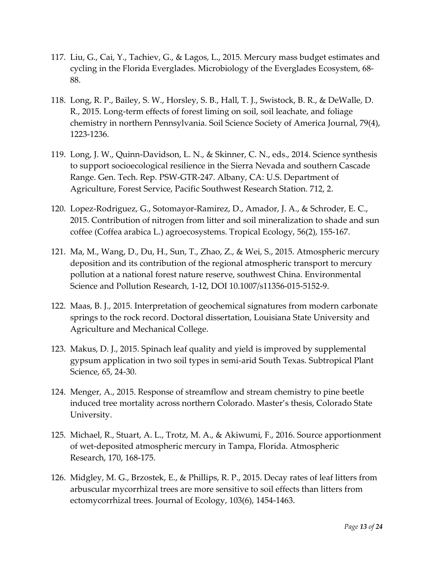- 117. Liu, G., Cai, Y., Tachiev, G., & Lagos, L., 2015. Mercury mass budget estimates and cycling in the Florida Everglades. Microbiology of the Everglades Ecosystem, 68- 88.
- 118. Long, R. P., Bailey, S. W., Horsley, S. B., Hall, T. J., Swistock, B. R., & DeWalle, D. R., 2015. Long-term effects of forest liming on soil, soil leachate, and foliage chemistry in northern Pennsylvania. Soil Science Society of America Journal, 79(4), 1223-1236.
- 119. Long, J. W., Quinn-Davidson, L. N., & Skinner, C. N., eds., 2014. Science synthesis to support socioecological resilience in the Sierra Nevada and southern Cascade Range. Gen. Tech. Rep. PSW-GTR-247. Albany, CA: U.S. Department of Agriculture, Forest Service, Pacific Southwest Research Station. 712, 2.
- 120. Lopez-Rodriguez, G., Sotomayor-Ramirez, D., Amador, J. A., & Schroder, E. C., 2015. Contribution of nitrogen from litter and soil mineralization to shade and sun coffee (Coffea arabica L.) agroecosystems. Tropical Ecology, 56(2), 155-167.
- 121. Ma, M., Wang, D., Du, H., Sun, T., Zhao, Z., & Wei, S., 2015. Atmospheric mercury deposition and its contribution of the regional atmospheric transport to mercury pollution at a national forest nature reserve, southwest China. Environmental Science and Pollution Research, 1-12, DOI 10.1007/s11356-015-5152-9.
- 122. Maas, B. J., 2015. Interpretation of geochemical signatures from modern carbonate springs to the rock record. Doctoral dissertation, Louisiana State University and Agriculture and Mechanical College.
- 123. Makus, D. J., 2015. Spinach leaf quality and yield is improved by supplemental gypsum application in two soil types in semi-arid South Texas. Subtropical Plant Science, 65, 24-30.
- 124. Menger, A., 2015. Response of streamflow and stream chemistry to pine beetle induced tree mortality across northern Colorado. Master's thesis, Colorado State University.
- 125. Michael, R., Stuart, A. L., Trotz, M. A., & Akiwumi, F., 2016. Source apportionment of wet-deposited atmospheric mercury in Tampa, Florida. Atmospheric Research, 170, 168-175.
- 126. Midgley, M. G., Brzostek, E., & Phillips, R. P., 2015. Decay rates of leaf litters from arbuscular mycorrhizal trees are more sensitive to soil effects than litters from ectomycorrhizal trees. Journal of Ecology, 103(6), 1454-1463.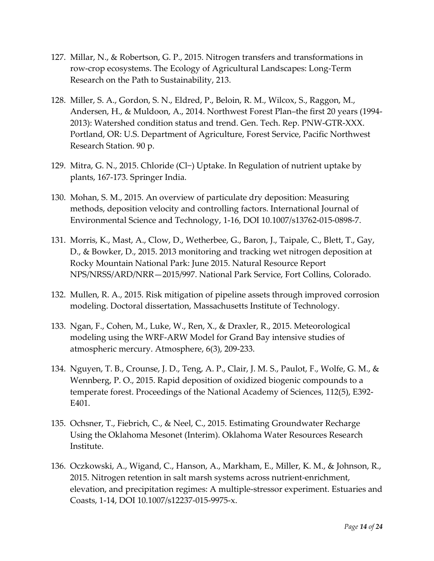- 127. Millar, N., & Robertson, G. P., 2015. Nitrogen transfers and transformations in row-crop ecosystems. The Ecology of Agricultural Landscapes: Long-Term Research on the Path to Sustainability, 213.
- 128. Miller, S. A., Gordon, S. N., Eldred, P., Beloin, R. M., Wilcox, S., Raggon, M., Andersen, H., & Muldoon, A., 2014. Northwest Forest Plan–the first 20 years (1994- 2013): Watershed condition status and trend. Gen. Tech. Rep. PNW-GTR-XXX. Portland, OR: U.S. Department of Agriculture, Forest Service, Pacific Northwest Research Station. 90 p.
- 129. Mitra, G. N., 2015. Chloride (Cl−) Uptake. In Regulation of nutrient uptake by plants, 167-173. Springer India.
- 130. Mohan, S. M., 2015. An overview of particulate dry deposition: Measuring methods, deposition velocity and controlling factors. International Journal of Environmental Science and Technology, 1-16, DOI 10.1007/s13762-015-0898-7.
- 131. Morris, K., Mast, A., Clow, D., Wetherbee, G., Baron, J., Taipale, C., Blett, T., Gay, D., & Bowker, D., 2015. 2013 monitoring and tracking wet nitrogen deposition at Rocky Mountain National Park: June 2015. Natural Resource Report NPS/NRSS/ARD/NRR—2015/997. National Park Service, Fort Collins, Colorado.
- 132. Mullen, R. A., 2015. Risk mitigation of pipeline assets through improved corrosion modeling. Doctoral dissertation, Massachusetts Institute of Technology.
- 133. Ngan, F., Cohen, M., Luke, W., Ren, X., & Draxler, R., 2015. Meteorological modeling using the WRF-ARW Model for Grand Bay intensive studies of atmospheric mercury. Atmosphere, 6(3), 209-233.
- 134. Nguyen, T. B., Crounse, J. D., Teng, A. P., Clair, J. M. S., Paulot, F., Wolfe, G. M., & Wennberg, P. O., 2015. Rapid deposition of oxidized biogenic compounds to a temperate forest. Proceedings of the National Academy of Sciences, 112(5), E392- E401.
- 135. Ochsner, T., Fiebrich, C., & Neel, C., 2015. Estimating Groundwater Recharge Using the Oklahoma Mesonet (Interim). Oklahoma Water Resources Research Institute.
- 136. Oczkowski, A., Wigand, C., Hanson, A., Markham, E., Miller, K. M., & Johnson, R., 2015. Nitrogen retention in salt marsh systems across nutrient-enrichment, elevation, and precipitation regimes: A multiple-stressor experiment. Estuaries and Coasts, 1-14, DOI 10.1007/s12237-015-9975-x.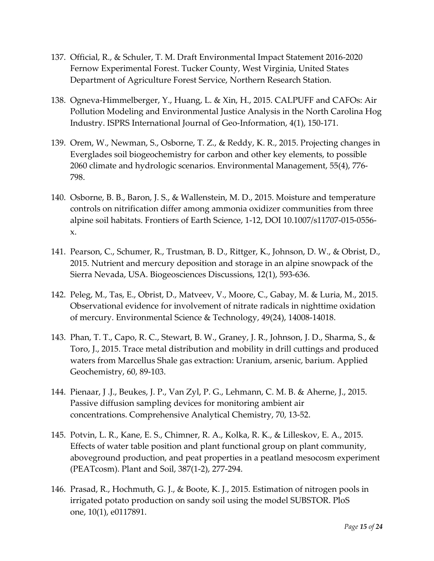- 137. Official, R., & Schuler, T. M. Draft Environmental Impact Statement 2016-2020 Fernow Experimental Forest. Tucker County, West Virginia, United States Department of Agriculture Forest Service, Northern Research Station.
- 138. Ogneva-Himmelberger, Y., Huang, L. & Xin, H., 2015. CALPUFF and CAFOs: Air Pollution Modeling and Environmental Justice Analysis in the North Carolina Hog Industry. ISPRS International Journal of Geo-Information, 4(1), 150-171.
- 139. Orem, W., Newman, S., Osborne, T. Z., & Reddy, K. R., 2015. Projecting changes in Everglades soil biogeochemistry for carbon and other key elements, to possible 2060 climate and hydrologic scenarios. Environmental Management, 55(4), 776- 798.
- 140. Osborne, B. B., Baron, J. S., & Wallenstein, M. D., 2015. Moisture and temperature controls on nitrification differ among ammonia oxidizer communities from three alpine soil habitats. Frontiers of Earth Science, 1-12, DOI 10.1007/s11707-015-0556 x.
- 141. Pearson, C., Schumer, R., Trustman, B. D., Rittger, K., Johnson, D. W., & Obrist, D., 2015. Nutrient and mercury deposition and storage in an alpine snowpack of the Sierra Nevada, USA. Biogeosciences Discussions, 12(1), 593-636.
- 142. Peleg, M., Tas, E., Obrist, D., Matveev, V., Moore, C., Gabay, M. & Luria, M., 2015. Observational evidence for involvement of nitrate radicals in nighttime oxidation of mercury. Environmental Science & Technology, 49(24), 14008-14018.
- 143. Phan, T. T., Capo, R. C., Stewart, B. W., Graney, J. R., Johnson, J. D., Sharma, S., & Toro, J., 2015. Trace metal distribution and mobility in drill cuttings and produced waters from Marcellus Shale gas extraction: Uranium, arsenic, barium. Applied Geochemistry, 60, 89-103.
- 144. Pienaar, J .J., Beukes, J. P., Van Zyl, P. G., Lehmann, C. M. B. & Aherne, J., 2015. Passive diffusion sampling devices for monitoring ambient air concentrations. Comprehensive Analytical Chemistry, 70, 13-52.
- 145. Potvin, L. R., Kane, E. S., Chimner, R. A., Kolka, R. K., & Lilleskov, E. A., 2015. Effects of water table position and plant functional group on plant community, aboveground production, and peat properties in a peatland mesocosm experiment (PEATcosm). Plant and Soil, 387(1-2), 277-294.
- 146. Prasad, R., Hochmuth, G. J., & Boote, K. J., 2015. Estimation of nitrogen pools in irrigated potato production on sandy soil using the model SUBSTOR. PloS one, 10(1), e0117891.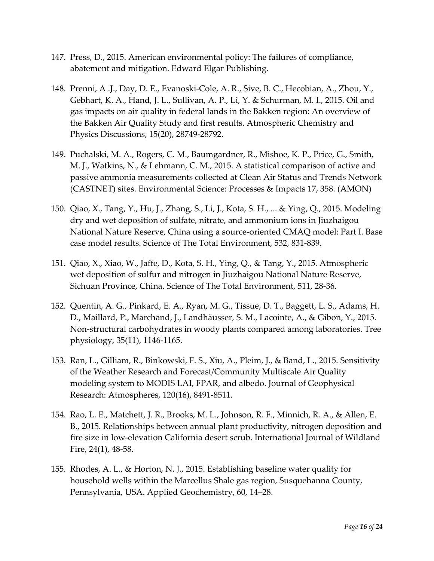- 147. Press, D., 2015. American environmental policy: The failures of compliance, abatement and mitigation. Edward Elgar Publishing.
- 148. Prenni, A .J., Day, D. E., Evanoski-Cole, A. R., Sive, B. C., Hecobian, A., Zhou, Y., Gebhart, K. A., Hand, J. L., Sullivan, A. P., Li, Y. & Schurman, M. I., 2015. Oil and gas impacts on air quality in federal lands in the Bakken region: An overview of the Bakken Air Quality Study and first results. Atmospheric Chemistry and Physics Discussions, 15(20), 28749-28792.
- 149. Puchalski, M. A., Rogers, C. M., Baumgardner, R., Mishoe, K. P., Price, G., Smith, M. J., Watkins, N., & Lehmann, C. M., 2015. A statistical comparison of active and passive ammonia measurements collected at Clean Air Status and Trends Network (CASTNET) sites. Environmental Science: Processes & Impacts 17, 358. (AMON)
- 150. Qiao, X., Tang, Y., Hu, J., Zhang, S., Li, J., Kota, S. H., ... & Ying, Q., 2015. Modeling dry and wet deposition of sulfate, nitrate, and ammonium ions in Jiuzhaigou National Nature Reserve, China using a source-oriented CMAQ model: Part I. Base case model results. Science of The Total Environment, 532, 831-839.
- 151. Qiao, X., Xiao, W., Jaffe, D., Kota, S. H., Ying, Q., & Tang, Y., 2015. Atmospheric wet deposition of sulfur and nitrogen in Jiuzhaigou National Nature Reserve, Sichuan Province, China. Science of The Total Environment, 511, 28-36.
- 152. Quentin, A. G., Pinkard, E. A., Ryan, M. G., Tissue, D. T., Baggett, L. S., Adams, H. D., Maillard, P., Marchand, J., Landhäusser, S. M., Lacointe, A., & Gibon, Y., 2015. Non-structural carbohydrates in woody plants compared among laboratories. Tree physiology, 35(11), 1146-1165.
- 153. Ran, L., Gilliam, R., Binkowski, F. S., Xiu, A., Pleim, J., & Band, L., 2015. Sensitivity of the Weather Research and Forecast/Community Multiscale Air Quality modeling system to MODIS LAI, FPAR, and albedo. Journal of Geophysical Research: Atmospheres, 120(16), 8491-8511.
- 154. Rao, L. E., Matchett, J. R., Brooks, M. L., Johnson, R. F., Minnich, R. A., & Allen, E. B., 2015. Relationships between annual plant productivity, nitrogen deposition and fire size in low-elevation California desert scrub. International Journal of Wildland Fire, 24(1), 48-58.
- 155. Rhodes, A. L., & Horton, N. J., 2015. Establishing baseline water quality for household wells within the Marcellus Shale gas region, Susquehanna County, Pennsylvania, USA. Applied Geochemistry, 60, 14–28.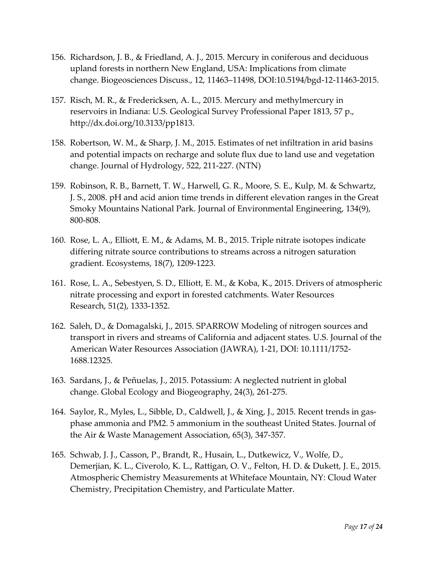- 156. Richardson, J. B., & Friedland, A. J., 2015. Mercury in coniferous and deciduous upland forests in northern New England, USA: Implications from climate change. Biogeosciences Discuss., 12, 11463–11498, DOI:10.5194/bgd-12-11463-2015.
- 157. Risch, M. R., & Fredericksen, A. L., 2015. Mercury and methylmercury in reservoirs in Indiana: U.S. Geological Survey Professional Paper 1813, 57 p., [http://dx.doi.org/10.3133/pp1813.](http://dx.doi.org/10.3133/pp1813)
- 158. Robertson, W. M., & Sharp, J. M., 2015. Estimates of net infiltration in arid basins and potential impacts on recharge and solute flux due to land use and vegetation change. Journal of Hydrology, 522, 211-227. (NTN)
- 159. Robinson, R. B., Barnett, T. W., Harwell, G. R., Moore, S. E., Kulp, M. & Schwartz, J. S., 2008. pH and acid anion time trends in different elevation ranges in the Great Smoky Mountains National Park. Journal of Environmental Engineering, 134(9), 800-808.
- 160. Rose, L. A., Elliott, E. M., & Adams, M. B., 2015. Triple nitrate isotopes indicate differing nitrate source contributions to streams across a nitrogen saturation gradient. Ecosystems, 18(7), 1209-1223.
- 161. Rose, L. A., Sebestyen, S. D., Elliott, E. M., & Koba, K., 2015. Drivers of atmospheric nitrate processing and export in forested catchments. Water Resources Research, 51(2), 1333-1352.
- 162. Saleh, D., & Domagalski, J., 2015. SPARROW Modeling of nitrogen sources and transport in rivers and streams of California and adjacent states. U.S. Journal of the American Water Resources Association (JAWRA), 1-21, DOI: 10.1111/1752- 1688.12325.
- 163. Sardans, J., & Peñuelas, J., 2015. Potassium: A neglected nutrient in global change. Global Ecology and Biogeography, 24(3), 261-275.
- 164. Saylor, R., Myles, L., Sibble, D., Caldwell, J., & Xing, J., 2015. Recent trends in gasphase ammonia and PM2. 5 ammonium in the southeast United States. Journal of the Air & Waste Management Association, 65(3), 347-357.
- 165. Schwab, J. J., Casson, P., Brandt, R., Husain, L., Dutkewicz, V., Wolfe, D., Demerjian, K. L., Civerolo, K. L., Rattigan, O. V., Felton, H. D. & Dukett, J. E., 2015. Atmospheric Chemistry Measurements at Whiteface Mountain, NY: Cloud Water Chemistry, Precipitation Chemistry, and Particulate Matter.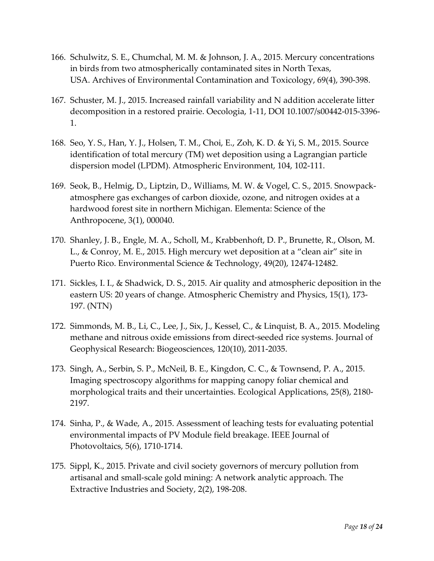- 166. Schulwitz, S. E., Chumchal, M. M. & Johnson, J. A., 2015. Mercury concentrations in birds from two atmospherically contaminated sites in North Texas, USA. Archives of Environmental Contamination and Toxicology, 69(4), 390-398.
- 167. Schuster, M. J., 2015. Increased rainfall variability and N addition accelerate litter decomposition in a restored prairie. Oecologia, 1-11, DOI 10.1007/s00442-015-3396- 1.
- 168. Seo, Y. S., Han, Y. J., Holsen, T. M., Choi, E., Zoh, K. D. & Yi, S. M., 2015. Source identification of total mercury (TM) wet deposition using a Lagrangian particle dispersion model (LPDM). Atmospheric Environment, 104, 102-111.
- 169. Seok, B., Helmig, D., Liptzin, D., Williams, M. W. & Vogel, C. S., 2015. Snowpackatmosphere gas exchanges of carbon dioxide, ozone, and nitrogen oxides at a hardwood forest site in northern Michigan. Elementa: Science of the Anthropocene, 3(1), 000040.
- 170. Shanley, J. B., Engle, M. A., Scholl, M., Krabbenhoft, D. P., Brunette, R., Olson, M. L., & Conroy, M. E., 2015. High mercury wet deposition at a "clean air" site in Puerto Rico. Environmental Science & Technology, 49(20), 12474-12482.
- 171. Sickles, I. I., & Shadwick, D. S., 2015. Air quality and atmospheric deposition in the eastern US: 20 years of change. Atmospheric Chemistry and Physics, 15(1), 173- 197. (NTN)
- 172. Simmonds, M. B., Li, C., Lee, J., Six, J., Kessel, C., & Linquist, B. A., 2015. Modeling methane and nitrous oxide emissions from direct-seeded rice systems. Journal of Geophysical Research: Biogeosciences, 120(10), 2011-2035.
- 173. Singh, A., Serbin, S. P., McNeil, B. E., Kingdon, C. C., & Townsend, P. A., 2015. Imaging spectroscopy algorithms for mapping canopy foliar chemical and morphological traits and their uncertainties. Ecological Applications, 25(8), 2180- 2197.
- 174. Sinha, P., & Wade, A., 2015. Assessment of leaching tests for evaluating potential environmental impacts of PV Module field breakage. IEEE Journal of Photovoltaics, 5(6), 1710-1714.
- 175. Sippl, K., 2015. Private and civil society governors of mercury pollution from artisanal and small-scale gold mining: A network analytic approach. The Extractive Industries and Society, 2(2), 198-208.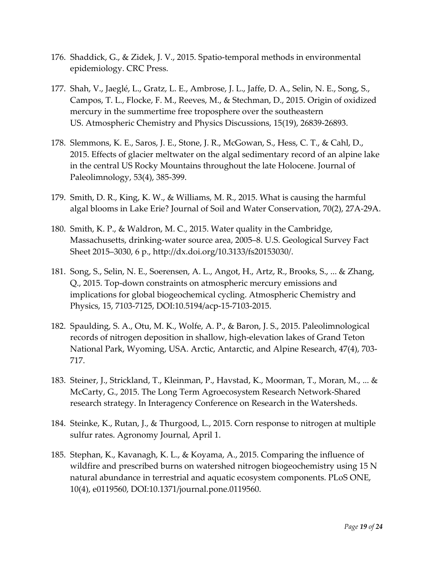- 176. Shaddick, G., & Zidek, J. V., 2015. Spatio-temporal methods in environmental epidemiology. CRC Press.
- 177. Shah, V., Jaeglé, L., Gratz, L. E., Ambrose, J. L., Jaffe, D. A., Selin, N. E., Song, S., Campos, T. L., Flocke, F. M., Reeves, M., & Stechman, D., 2015. Origin of oxidized mercury in the summertime free troposphere over the southeastern US. Atmospheric Chemistry and Physics Discussions, 15(19), 26839-26893.
- 178. Slemmons, K. E., Saros, J. E., Stone, J. R., McGowan, S., Hess, C. T., & Cahl, D., 2015. Effects of glacier meltwater on the algal sedimentary record of an alpine lake in the central US Rocky Mountains throughout the late Holocene. Journal of Paleolimnology, 53(4), 385-399.
- 179. Smith, D. R., King, K. W., & Williams, M. R., 2015. What is causing the harmful algal blooms in Lake Erie? Journal of Soil and Water Conservation, 70(2), 27A-29A.
- 180. Smith, K. P., & Waldron, M. C., 2015. Water quality in the Cambridge, Massachusetts, drinking-water source area, 2005–8. U.S. Geological Survey Fact Sheet 2015–3030, 6 p., [http://dx.doi.org/10.3133/fs20153030/.](http://dx.doi.org/10.3133/fs20153030/)
- 181. Song, S., Selin, N. E., Soerensen, A. L., Angot, H., Artz, R., Brooks, S., ... & Zhang, Q., 2015. Top-down constraints on atmospheric mercury emissions and implications for global biogeochemical cycling. Atmospheric Chemistry and Physics, 15, 7103-7125, DOI:10.5194/acp-15-7103-2015.
- 182. Spaulding, S. A., Otu, M. K., Wolfe, A. P., & Baron, J. S., 2015. Paleolimnological records of nitrogen deposition in shallow, high-elevation lakes of Grand Teton National Park, Wyoming, USA. Arctic, Antarctic, and Alpine Research, 47(4), 703- 717.
- 183. Steiner, J., Strickland, T., Kleinman, P., Havstad, K., Moorman, T., Moran, M., ... & McCarty, G., 2015. The Long Term Agroecosystem Research Network-Shared research strategy. In Interagency Conference on Research in the Watersheds.
- 184. Steinke, K., Rutan, J., & Thurgood, L., 2015. Corn response to nitrogen at multiple sulfur rates. Agronomy Journal, April 1.
- 185. Stephan, K., Kavanagh, K. L., & Koyama, A., 2015. Comparing the influence of wildfire and prescribed burns on watershed nitrogen biogeochemistry using 15 N natural abundance in terrestrial and aquatic ecosystem components. PLoS ONE, 10(4), e0119560, DOI:10.1371/journal.pone.0119560.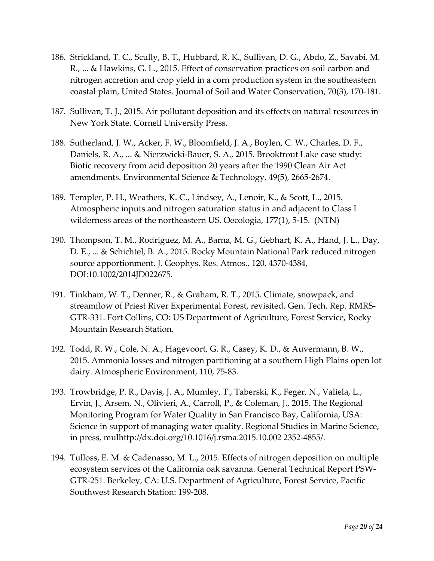- 186. Strickland, T. C., Scully, B. T., Hubbard, R. K., Sullivan, D. G., Abdo, Z., Savabi, M. R., ... & Hawkins, G. L., 2015. Effect of conservation practices on soil carbon and nitrogen accretion and crop yield in a corn production system in the southeastern coastal plain, United States. Journal of Soil and Water Conservation, 70(3), 170-181.
- 187. Sullivan, T. J., 2015. Air pollutant deposition and its effects on natural resources in New York State. Cornell University Press.
- 188. Sutherland, J. W., Acker, F. W., Bloomfield, J. A., Boylen, C. W., Charles, D. F., Daniels, R. A., ... & Nierzwicki-Bauer, S. A., 2015. Brooktrout Lake case study: Biotic recovery from acid deposition 20 years after the 1990 Clean Air Act amendments. Environmental Science & Technology, 49(5), 2665-2674.
- 189. Templer, P. H., Weathers, K. C., Lindsey, A., Lenoir, K., & Scott, L., 2015. Atmospheric inputs and nitrogen saturation status in and adjacent to Class I wilderness areas of the northeastern US. Oecologia, 177(1), 5-15. (NTN)
- 190. Thompson, T. M., Rodriguez, M. A., Barna, M. G., Gebhart, K. A., Hand, J. L., Day, D. E., ... & Schichtel, B. A., 2015. Rocky Mountain National Park reduced nitrogen source apportionment. J. Geophys. Res. Atmos., 120, 4370-4384, DOI:10.1002/2014JD022675.
- 191. Tinkham, W. T., Denner, R., & Graham, R. T., 2015. Climate, snowpack, and streamflow of Priest River Experimental Forest, revisited. Gen. Tech. Rep. RMRS-GTR-331. Fort Collins, CO: US Department of Agriculture, Forest Service, Rocky Mountain Research Station.
- 192. Todd, R. W., Cole, N. A., Hagevoort, G. R., Casey, K. D., & Auvermann, B. W., 2015. Ammonia losses and nitrogen partitioning at a southern High Plains open lot dairy. Atmospheric Environment, 110, 75-83.
- 193. Trowbridge, P. R., Davis, J. A., Mumley, T., Taberski, K., Feger, N., Valiela, L., Ervin, J., Arsem, N., Olivieri, A., Carroll, P., & Coleman, J., 2015. The Regional Monitoring Program for Water Quality in San Francisco Bay, California, USA: Science in support of managing water quality. Regional Studies in Marine Science, in press, mulhttp://dx.doi.org/10.1016/j.rsma.2015.10.002 2352-4855/.
- 194. Tulloss, E. M. & Cadenasso, M. L., 2015. Effects of nitrogen deposition on multiple ecosystem services of the California oak savanna. General Technical Report PSW-GTR-251. Berkeley, CA: U.S. Department of Agriculture, Forest Service, Pacific Southwest Research Station: 199-208.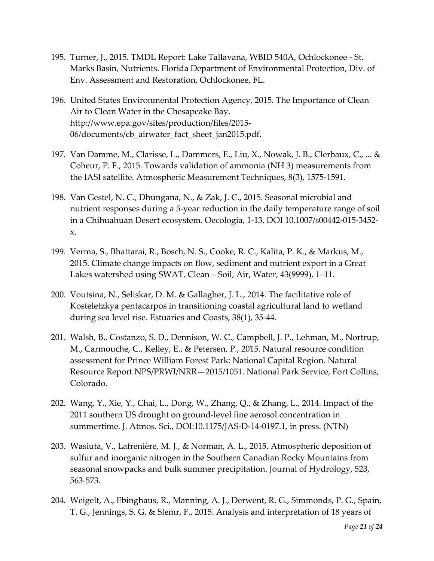- 195. Turner, J., 2015. TMDL Report: Lake Tallavana, WBID 540A, Ochlockonee St. Marks Basin, Nutrients. Florida Department of Environmental Protection, Div. of Env. Assessment and Restoration, Ochlockonee, FL.
- 196. United States Environmental Protection Agency, 2015. The Importance of Clean Air to Clean Water in the Chesapeake Bay. http://www.epa.gov/sites/production/files/2015- 06/documents/cb\_airwater\_fact\_sheet\_jan2015.pdf.
- 197. Van Damme, M., Clarisse, L., Dammers, E., Liu, X., Nowak, J. B., Clerbaux, C., ... & Coheur, P. F., 2015. Towards validation of ammonia (NH 3) measurements from the IASI satellite. Atmospheric Measurement Techniques, 8(3), 1575-1591.
- 198. Van Gestel, N. C., Dhungana, N., & Zak, J. C., 2015. Seasonal microbial and nutrient responses during a 5-year reduction in the daily temperature range of soil in a Chihuahuan Desert ecosystem. Oecologia, 1-13, DOI 10.1007/s00442-015-3452 x.
- 199. Verma, S., Bhattarai, R., Bosch, N. S., Cooke, R. C., Kalita, P. K., & Markus, M., 2015. Climate change impacts on flow, sediment and nutrient export in a Great Lakes watershed using SWAT. Clean – Soil, Air, Water, 43(9999), 1–11.
- 200. Voutsina, N., Seliskar, D. M. & Gallagher, J. L., 2014. The facilitative role of Kosteletzkya pentacarpos in transitioning coastal agricultural land to wetland during sea level rise. Estuaries and Coasts, 38(1), 35-44.
- 201. Walsh, B., Costanzo, S. D., Dennison, W. C., Campbell, J. P., Lehman, M., Nortrup, M., Carmouche, C., Kelley, E., & Petersen, P., 2015. Natural resource condition assessment for Prince William Forest Park: National Capital Region. Natural Resource Report NPS/PRWI/NRR—2015/1051. National Park Service, Fort Collins, Colorado.
- 202. Wang, Y., Xie, Y., Chai, L., Dong, W., Zhang, Q., & Zhang, L., 2014. Impact of the 2011 southern US drought on ground-level fine aerosol concentration in summertime. J. Atmos. Sci., DOI:10.1175/JAS-D-14-0197.1, in press. (NTN)
- 203. Wasiuta, V., Lafrenière, M. J., & Norman, A. L., 2015. Atmospheric deposition of sulfur and inorganic nitrogen in the Southern Canadian Rocky Mountains from seasonal snowpacks and bulk summer precipitation. Journal of Hydrology, 523, 563-573.
- 204. Weigelt, A., Ebinghaus, R., Manning, A. J., Derwent, R. G., Simmonds, P. G., Spain, T. G., Jennings, S. G. & Slemr, F., 2015. Analysis and interpretation of 18 years of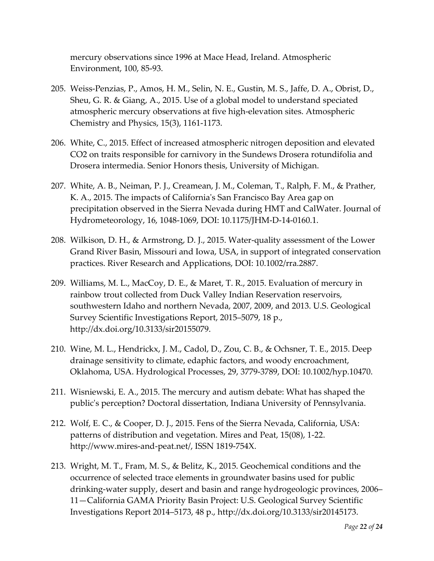mercury observations since 1996 at Mace Head, Ireland. Atmospheric Environment, 100, 85-93.

- 205. Weiss-Penzias, P., Amos, H. M., Selin, N. E., Gustin, M. S., Jaffe, D. A., Obrist, D., Sheu, G. R. & Giang, A., 2015. Use of a global model to understand speciated atmospheric mercury observations at five high-elevation sites. Atmospheric Chemistry and Physics, 15(3), 1161-1173.
- 206. White, C., 2015. Effect of increased atmospheric nitrogen deposition and elevated CO2 on traits responsible for carnivory in the Sundews Drosera rotundifolia and Drosera intermedia. Senior Honors thesis, University of Michigan.
- 207. White, A. B., Neiman, P. J., Creamean, J. M., Coleman, T., Ralph, F. M., & Prather, K. A., 2015. The impacts of California's San Francisco Bay Area gap on precipitation observed in the Sierra Nevada during HMT and CalWater. Journal of Hydrometeorology, 16, 1048-1069, DOI: 10.1175/JHM-D-14-0160.1.
- 208. Wilkison, D. H., & Armstrong, D. J., 2015. Water-quality assessment of the Lower Grand River Basin, Missouri and Iowa, USA, in support of integrated conservation practices. River Research and Applications, DOI: 10.1002/rra.2887.
- 209. Williams, M. L., MacCoy, D. E., & Maret, T. R., 2015. Evaluation of mercury in rainbow trout collected from Duck Valley Indian Reservation reservoirs, southwestern Idaho and northern Nevada, 2007, 2009, and 2013. U.S. Geological Survey Scientific Investigations Report, 2015–5079, 18 p., [http://dx.doi.org/10.3133/sir20155079.](http://dx.doi.org/10.3133/sir20155079)
- 210. Wine, M. L., Hendrickx, J. M., Cadol, D., Zou, C. B., & Ochsner, T. E., 2015. Deep drainage sensitivity to climate, edaphic factors, and woody encroachment, Oklahoma, USA. Hydrological Processes, 29, 3779-3789, DOI: 10.1002/hyp.10470.
- 211. Wisniewski, E. A., 2015. The mercury and autism debate: What has shaped the public's perception? Doctoral dissertation, Indiana University of Pennsylvania.
- 212. Wolf, E. C., & Cooper, D. J., 2015. Fens of the Sierra Nevada, California, USA: patterns of distribution and vegetation. Mires and Peat, 15(08), 1-22. http://www.mires-and-peat.net/, ISSN 1819-754X.
- 213. Wright, M. T., Fram, M. S., & Belitz, K., 2015. Geochemical conditions and the occurrence of selected trace elements in groundwater basins used for public drinking-water supply, desert and basin and range hydrogeologic provinces, 2006– 11—California GAMA Priority Basin Project: U.S. Geological Survey Scientific Investigations Report 2014–5173, 48 p., [http://dx.doi.org/10.3133/sir20145173.](http://dx.doi.org/10.3133/sir20145173)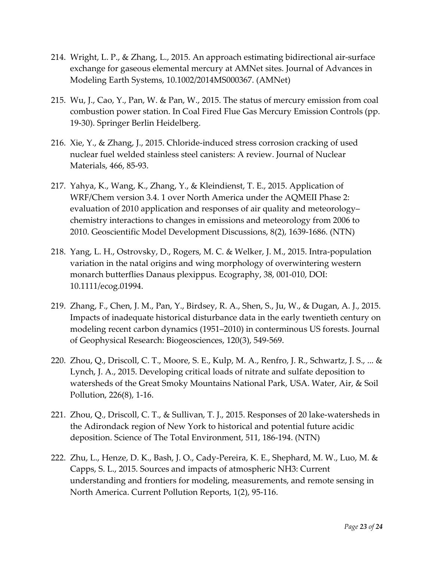- 214. Wright, L. P., & Zhang, L., 2015. An approach estimating bidirectional air-surface exchange for gaseous elemental mercury at AMNet sites. Journal of Advances in Modeling Earth Systems, 10.1002/2014MS000367. (AMNet)
- 215. Wu, J., Cao, Y., Pan, W. & Pan, W., 2015. The status of mercury emission from coal combustion power station. In Coal Fired Flue Gas Mercury Emission Controls (pp. 19-30). Springer Berlin Heidelberg.
- 216. Xie, Y., & Zhang, J., 2015. Chloride-induced stress corrosion cracking of used nuclear fuel welded stainless steel canisters: A review. Journal of Nuclear Materials, 466, 85-93.
- 217. Yahya, K., Wang, K., Zhang, Y., & Kleindienst, T. E., 2015. Application of WRF/Chem version 3.4. 1 over North America under the AQMEII Phase 2: evaluation of 2010 application and responses of air quality and meteorology– chemistry interactions to changes in emissions and meteorology from 2006 to 2010. Geoscientific Model Development Discussions, 8(2), 1639-1686. (NTN)
- 218. Yang, L. H., Ostrovsky, D., Rogers, M. C. & Welker, J. M., 2015. Intra-population variation in the natal origins and wing morphology of overwintering western monarch butterflies Danaus plexippus. Ecography, 38, 001-010, DOI: 10.1111/ecog.01994.
- 219. Zhang, F., Chen, J. M., Pan, Y., Birdsey, R. A., Shen, S., Ju, W., & Dugan, A. J., 2015. Impacts of inadequate historical disturbance data in the early twentieth century on modeling recent carbon dynamics (1951–2010) in conterminous US forests. Journal of Geophysical Research: Biogeosciences, 120(3), 549-569.
- 220. Zhou, Q., Driscoll, C. T., Moore, S. E., Kulp, M. A., Renfro, J. R., Schwartz, J. S., ... & Lynch, J. A., 2015. Developing critical loads of nitrate and sulfate deposition to watersheds of the Great Smoky Mountains National Park, USA. Water, Air, & Soil Pollution, 226(8), 1-16.
- 221. Zhou, Q., Driscoll, C. T., & Sullivan, T. J., 2015. Responses of 20 lake-watersheds in the Adirondack region of New York to historical and potential future acidic deposition. Science of The Total Environment, 511, 186-194. (NTN)
- 222. Zhu, L., Henze, D. K., Bash, J. O., Cady-Pereira, K. E., Shephard, M. W., Luo, M. & Capps, S. L., 2015. Sources and impacts of atmospheric NH3: Current understanding and frontiers for modeling, measurements, and remote sensing in North America. Current Pollution Reports, 1(2), 95-116.